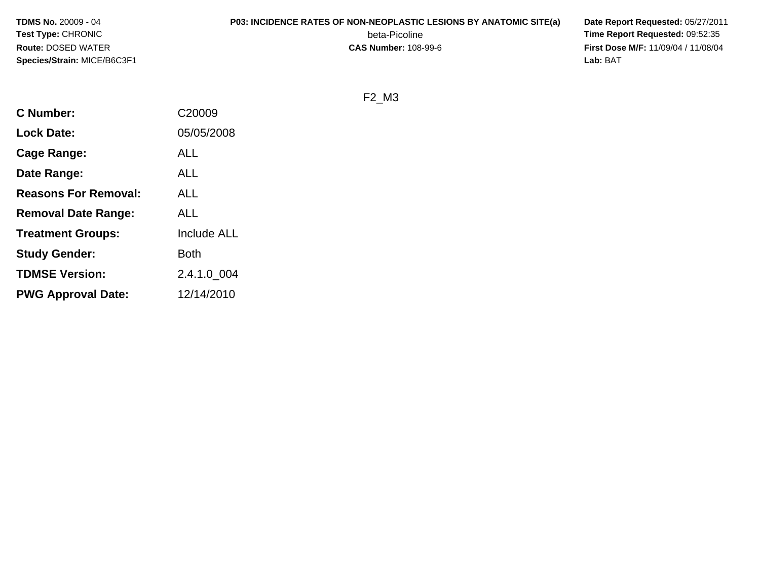**TDMS No.** 20009 - 04**Test Type:** CHRONIC**Route:** DOSED WATER**Species/Strain:** MICE/B6C3F1

# **P03: INCIDENCE RATES OF NON-NEOPLASTIC LESIONS BY ANATOMIC SITE(a) Date Report Requested:** 05/27/2011

beta-Picoline<br>CAS Number: 108-99-6

 **Time Report Requested:** 09:52:35 **First Dose M/F:** 11/09/04 / 11/08/04<br>Lab: BAT **Lab:** BAT

F2\_M3

| <b>C</b> Number:            | C20009             |
|-----------------------------|--------------------|
| <b>Lock Date:</b>           | 05/05/2008         |
| <b>Cage Range:</b>          | <b>ALL</b>         |
| Date Range:                 | <b>ALL</b>         |
| <b>Reasons For Removal:</b> | <b>ALL</b>         |
| <b>Removal Date Range:</b>  | <b>ALL</b>         |
| <b>Treatment Groups:</b>    | <b>Include ALL</b> |
| <b>Study Gender:</b>        | Both               |
| <b>TDMSE Version:</b>       | 2.4.1.0 004        |
| <b>PWG Approval Date:</b>   | 12/14/2010         |
|                             |                    |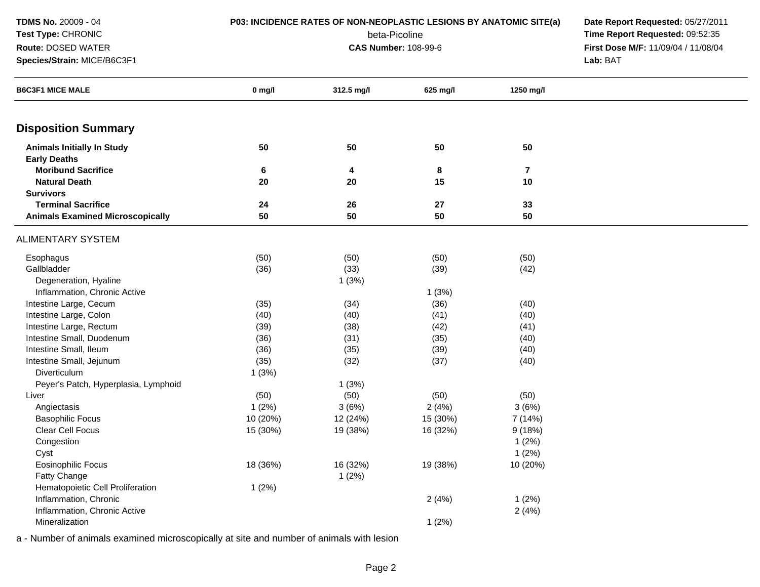| <b>TDMS No. 20009 - 04</b><br>Test Type: CHRONIC<br>Route: DOSED WATER<br>Species/Strain: MICE/B6C3F1 | P03: INCIDENCE RATES OF NON-NEOPLASTIC LESIONS BY ANATOMIC SITE(a) | Date Report Requested: 05/27/2011<br>Time Report Requested: 09:52:35<br>First Dose M/F: 11/09/04 / 11/08/04<br>Lab: BAT |          |           |  |
|-------------------------------------------------------------------------------------------------------|--------------------------------------------------------------------|-------------------------------------------------------------------------------------------------------------------------|----------|-----------|--|
| <b>B6C3F1 MICE MALE</b>                                                                               | $0$ mg/l                                                           | 312.5 mg/l                                                                                                              | 625 mg/l | 1250 mg/l |  |
| <b>Disposition Summary</b>                                                                            |                                                                    |                                                                                                                         |          |           |  |
| <b>Animals Initially In Study</b>                                                                     | 50                                                                 | 50                                                                                                                      | 50       | 50        |  |
| <b>Early Deaths</b>                                                                                   |                                                                    |                                                                                                                         |          |           |  |
| <b>Moribund Sacrifice</b>                                                                             | 6                                                                  | 4                                                                                                                       | 8        | 7         |  |
| <b>Natural Death</b>                                                                                  | 20                                                                 | 20                                                                                                                      | 15       | 10        |  |
| <b>Survivors</b><br><b>Terminal Sacrifice</b>                                                         |                                                                    |                                                                                                                         |          |           |  |
| <b>Animals Examined Microscopically</b>                                                               | 24<br>50                                                           | 26<br>50                                                                                                                | 27<br>50 | 33<br>50  |  |
|                                                                                                       |                                                                    |                                                                                                                         |          |           |  |
| <b>ALIMENTARY SYSTEM</b>                                                                              |                                                                    |                                                                                                                         |          |           |  |
| Esophagus                                                                                             | (50)                                                               | (50)                                                                                                                    | (50)     | (50)      |  |
| Gallbladder                                                                                           | (36)                                                               | (33)                                                                                                                    | (39)     | (42)      |  |
| Degeneration, Hyaline                                                                                 |                                                                    | 1(3%)                                                                                                                   |          |           |  |
| Inflammation, Chronic Active                                                                          |                                                                    |                                                                                                                         | 1(3%)    |           |  |
| Intestine Large, Cecum                                                                                | (35)                                                               | (34)                                                                                                                    | (36)     | (40)      |  |
| Intestine Large, Colon                                                                                | (40)                                                               | (40)                                                                                                                    | (41)     | (40)      |  |
| Intestine Large, Rectum                                                                               | (39)                                                               | (38)                                                                                                                    | (42)     | (41)      |  |
| Intestine Small, Duodenum                                                                             | (36)                                                               | (31)                                                                                                                    | (35)     | (40)      |  |
| Intestine Small, Ileum                                                                                | (36)                                                               | (35)                                                                                                                    | (39)     | (40)      |  |
| Intestine Small, Jejunum                                                                              | (35)                                                               | (32)                                                                                                                    | (37)     | (40)      |  |
| Diverticulum                                                                                          | 1(3%)                                                              |                                                                                                                         |          |           |  |
| Peyer's Patch, Hyperplasia, Lymphoid                                                                  |                                                                    | 1(3%)                                                                                                                   |          |           |  |
| Liver                                                                                                 | (50)                                                               | (50)                                                                                                                    | (50)     | (50)      |  |
| Angiectasis                                                                                           | 1(2%)                                                              | 3(6%)                                                                                                                   | 2(4%)    | 3(6%)     |  |
| <b>Basophilic Focus</b>                                                                               | 10 (20%)                                                           | 12 (24%)                                                                                                                | 15 (30%) | 7 (14%)   |  |
| Clear Cell Focus                                                                                      | 15 (30%)                                                           | 19 (38%)                                                                                                                | 16 (32%) | 9(18%)    |  |
| Congestion                                                                                            |                                                                    |                                                                                                                         |          | 1(2%)     |  |
| Cyst                                                                                                  |                                                                    |                                                                                                                         |          | 1(2%)     |  |
| <b>Eosinophilic Focus</b>                                                                             | 18 (36%)                                                           | 16 (32%)                                                                                                                | 19 (38%) | 10 (20%)  |  |
| Fatty Change                                                                                          |                                                                    | 1(2%)                                                                                                                   |          |           |  |
| Hematopoietic Cell Proliferation                                                                      | 1(2%)                                                              |                                                                                                                         |          |           |  |
| Inflammation, Chronic                                                                                 |                                                                    |                                                                                                                         | 2(4%)    | 1(2%)     |  |
| Inflammation, Chronic Active                                                                          |                                                                    |                                                                                                                         |          | 2(4%)     |  |
| Mineralization                                                                                        |                                                                    |                                                                                                                         | 1(2%)    |           |  |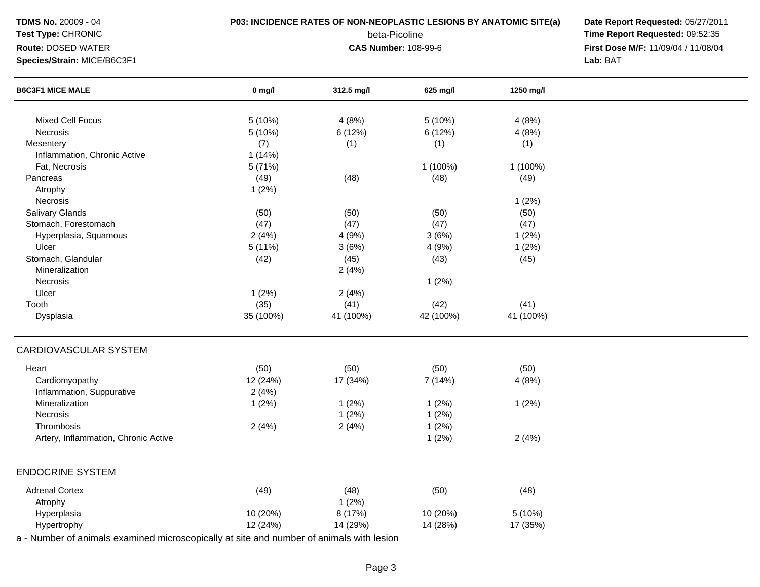| $0$ mg/l<br>5 (10%)<br>5(10%)<br>(7)<br>1(14%)<br>5 (71%)<br>(49)<br>1(2%)<br>(50)<br>(47) | <b>CAS Number: 108-99-6</b><br>312.5 mg/l<br>4(8%)<br>6(12%)<br>(1)<br>(48)<br>(50) | beta-Picoline<br>625 mg/l<br>5 (10%)<br>6 (12%)<br>(1)<br>1 (100%)<br>(48)                                                                                                         | 1250 mg/l<br>4(8%)<br>4(8%)<br>(1)<br>1 (100%)<br>(49)                                   | Time Report Requested: 09:52:35<br>First Dose M/F: 11/09/04 / 11/08/04<br>Lab: BAT |
|--------------------------------------------------------------------------------------------|-------------------------------------------------------------------------------------|------------------------------------------------------------------------------------------------------------------------------------------------------------------------------------|------------------------------------------------------------------------------------------|------------------------------------------------------------------------------------|
|                                                                                            |                                                                                     |                                                                                                                                                                                    |                                                                                          |                                                                                    |
|                                                                                            |                                                                                     |                                                                                                                                                                                    |                                                                                          |                                                                                    |
|                                                                                            |                                                                                     |                                                                                                                                                                                    |                                                                                          |                                                                                    |
|                                                                                            |                                                                                     |                                                                                                                                                                                    |                                                                                          |                                                                                    |
|                                                                                            |                                                                                     |                                                                                                                                                                                    |                                                                                          |                                                                                    |
|                                                                                            |                                                                                     |                                                                                                                                                                                    |                                                                                          |                                                                                    |
|                                                                                            |                                                                                     |                                                                                                                                                                                    |                                                                                          |                                                                                    |
|                                                                                            |                                                                                     |                                                                                                                                                                                    |                                                                                          |                                                                                    |
|                                                                                            |                                                                                     |                                                                                                                                                                                    |                                                                                          |                                                                                    |
|                                                                                            |                                                                                     |                                                                                                                                                                                    |                                                                                          |                                                                                    |
|                                                                                            |                                                                                     |                                                                                                                                                                                    |                                                                                          |                                                                                    |
|                                                                                            |                                                                                     |                                                                                                                                                                                    | 1(2%)                                                                                    |                                                                                    |
|                                                                                            |                                                                                     | (50)                                                                                                                                                                               | (50)                                                                                     |                                                                                    |
|                                                                                            | (47)                                                                                | (47)                                                                                                                                                                               | (47)                                                                                     |                                                                                    |
| 2(4%)                                                                                      | 4(9%)                                                                               | 3(6%)                                                                                                                                                                              | 1(2%)                                                                                    |                                                                                    |
|                                                                                            |                                                                                     |                                                                                                                                                                                    |                                                                                          |                                                                                    |
|                                                                                            |                                                                                     |                                                                                                                                                                                    |                                                                                          |                                                                                    |
|                                                                                            |                                                                                     |                                                                                                                                                                                    |                                                                                          |                                                                                    |
|                                                                                            |                                                                                     |                                                                                                                                                                                    |                                                                                          |                                                                                    |
|                                                                                            |                                                                                     |                                                                                                                                                                                    |                                                                                          |                                                                                    |
|                                                                                            |                                                                                     |                                                                                                                                                                                    |                                                                                          |                                                                                    |
| 35 (100%)                                                                                  | 41 (100%)                                                                           | 42 (100%)                                                                                                                                                                          | 41 (100%)                                                                                |                                                                                    |
|                                                                                            |                                                                                     |                                                                                                                                                                                    |                                                                                          |                                                                                    |
|                                                                                            |                                                                                     |                                                                                                                                                                                    |                                                                                          |                                                                                    |
|                                                                                            |                                                                                     |                                                                                                                                                                                    |                                                                                          |                                                                                    |
|                                                                                            |                                                                                     |                                                                                                                                                                                    |                                                                                          |                                                                                    |
|                                                                                            |                                                                                     |                                                                                                                                                                                    |                                                                                          |                                                                                    |
|                                                                                            |                                                                                     |                                                                                                                                                                                    |                                                                                          |                                                                                    |
|                                                                                            |                                                                                     |                                                                                                                                                                                    |                                                                                          |                                                                                    |
|                                                                                            |                                                                                     | 1(2%)                                                                                                                                                                              | 2(4%)                                                                                    |                                                                                    |
|                                                                                            |                                                                                     |                                                                                                                                                                                    |                                                                                          |                                                                                    |
| (49)                                                                                       | (48)                                                                                | (50)                                                                                                                                                                               | (48)                                                                                     |                                                                                    |
|                                                                                            | 1(2%)                                                                               |                                                                                                                                                                                    |                                                                                          |                                                                                    |
| 10 (20%)                                                                                   | 8 (17%)                                                                             | 10 (20%)                                                                                                                                                                           | 5(10%)                                                                                   |                                                                                    |
| 12 (24%)                                                                                   | 14 (29%)                                                                            |                                                                                                                                                                                    |                                                                                          |                                                                                    |
|                                                                                            | 5(11%)<br>(42)<br>1(2%)<br>(35)<br>(50)<br>12 (24%)<br>2(4%)<br>1(2%)<br>2(4%)      | 3(6%)<br>(45)<br>2(4%)<br>2(4%)<br>(41)<br>(50)<br>17 (34%)<br>1(2%)<br>1(2%)<br>2(4%)<br>a - Number of animals examined microscopically at site and number of animals with lesion | 4(9%)<br>(43)<br>1(2%)<br>(42)<br>(50)<br>7 (14%)<br>1(2%)<br>1(2%)<br>1(2%)<br>14 (28%) | 1(2%)<br>(45)<br>(41)<br>(50)<br>4(8%)<br>1(2%)<br>17 (35%)                        |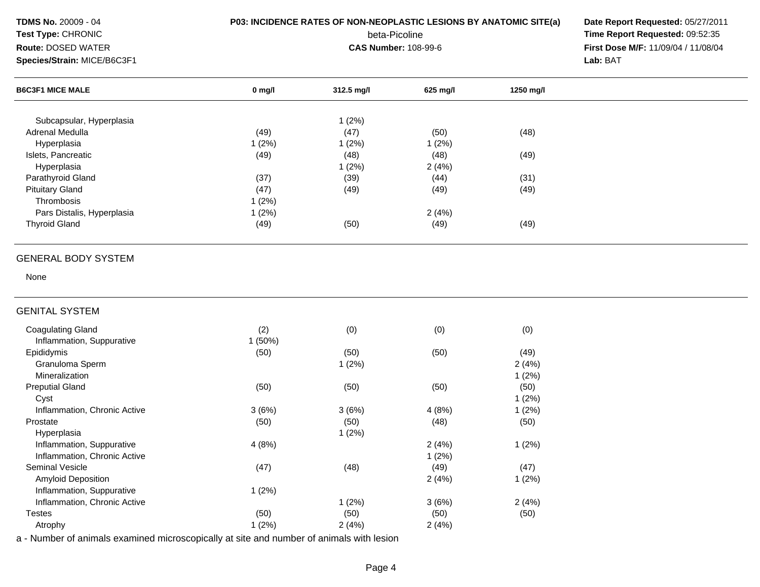| <b>TDMS No. 20009 - 04</b><br>Test Type: CHRONIC<br>Route: DOSED WATER<br>Species/Strain: MICE/B6C3F1 | P03: INCIDENCE RATES OF NON-NEOPLASTIC LESIONS BY ANATOMIC SITE(a) | Date Report Requested: 05/27/2011<br>Time Report Requested: 09:52:35<br>First Dose M/F: 11/09/04 / 11/08/04<br>Lab: BAT |          |           |  |
|-------------------------------------------------------------------------------------------------------|--------------------------------------------------------------------|-------------------------------------------------------------------------------------------------------------------------|----------|-----------|--|
| <b>B6C3F1 MICE MALE</b>                                                                               | $0$ mg/l                                                           | 312.5 mg/l                                                                                                              | 625 mg/l | 1250 mg/l |  |
| Subcapsular, Hyperplasia                                                                              |                                                                    | 1(2%)                                                                                                                   |          |           |  |
| Adrenal Medulla                                                                                       | (49)                                                               | (47)                                                                                                                    | (50)     | (48)      |  |
| Hyperplasia                                                                                           | 1(2%)                                                              | 1(2%)                                                                                                                   | 1(2%)    |           |  |
| Islets, Pancreatic                                                                                    | (49)                                                               | (48)                                                                                                                    | (48)     | (49)      |  |
| Hyperplasia                                                                                           |                                                                    | 1(2%)                                                                                                                   | 2(4%)    |           |  |
| Parathyroid Gland                                                                                     | (37)                                                               | (39)                                                                                                                    | (44)     | (31)      |  |
| <b>Pituitary Gland</b>                                                                                | (47)                                                               | (49)                                                                                                                    | (49)     | (49)      |  |
| Thrombosis                                                                                            | 1(2%)                                                              |                                                                                                                         |          |           |  |
| Pars Distalis, Hyperplasia                                                                            | 1(2%)                                                              |                                                                                                                         | 2(4%)    |           |  |
| <b>Thyroid Gland</b>                                                                                  | (49)                                                               | (50)                                                                                                                    | (49)     | (49)      |  |
| <b>GENERAL BODY SYSTEM</b>                                                                            |                                                                    |                                                                                                                         |          |           |  |
| None                                                                                                  |                                                                    |                                                                                                                         |          |           |  |
| <b>GENITAL SYSTEM</b>                                                                                 |                                                                    |                                                                                                                         |          |           |  |
| <b>Coagulating Gland</b>                                                                              | (2)                                                                | (0)                                                                                                                     | (0)      | (0)       |  |
| Inflammation, Suppurative                                                                             | 1(50%)                                                             |                                                                                                                         |          |           |  |
| Epididymis                                                                                            | (50)                                                               | (50)                                                                                                                    | (50)     | (49)      |  |
| Granuloma Sperm                                                                                       |                                                                    | 1(2%)                                                                                                                   |          | 2(4%)     |  |
| Mineralization                                                                                        |                                                                    |                                                                                                                         |          | 1(2%)     |  |
| <b>Preputial Gland</b>                                                                                | (50)                                                               | (50)                                                                                                                    | (50)     | (50)      |  |
| Cyst                                                                                                  |                                                                    |                                                                                                                         |          | 1(2%)     |  |
| Inflammation, Chronic Active                                                                          | 3(6%)                                                              | 3(6%)                                                                                                                   | 4(8%)    | 1(2%)     |  |
| Prostate                                                                                              | (50)                                                               | (50)                                                                                                                    | (48)     | (50)      |  |
| Hyperplasia                                                                                           |                                                                    | 1(2%)                                                                                                                   |          |           |  |
| Inflammation, Suppurative                                                                             | 4(8%)                                                              |                                                                                                                         | 2(4%)    | 1(2%)     |  |
| Inflammation, Chronic Active                                                                          |                                                                    |                                                                                                                         | 1(2%)    |           |  |
| Seminal Vesicle                                                                                       | (47)                                                               | (48)                                                                                                                    | (49)     | (47)      |  |
| Amyloid Deposition                                                                                    |                                                                    |                                                                                                                         | 2(4%)    | 1(2%)     |  |
| Inflammation, Suppurative                                                                             |                                                                    |                                                                                                                         |          |           |  |
|                                                                                                       | 1(2%)                                                              |                                                                                                                         |          |           |  |
| Inflammation, Chronic Active                                                                          |                                                                    | 1(2%)                                                                                                                   | 3(6%)    | 2(4%)     |  |
| <b>Testes</b>                                                                                         | (50)                                                               | (50)                                                                                                                    | (50)     | (50)      |  |
| Atrophy<br>a - Number of animals examined microscopically at site and number of animals with lesion   | 1(2%)                                                              | 2(4%)                                                                                                                   | 2(4%)    |           |  |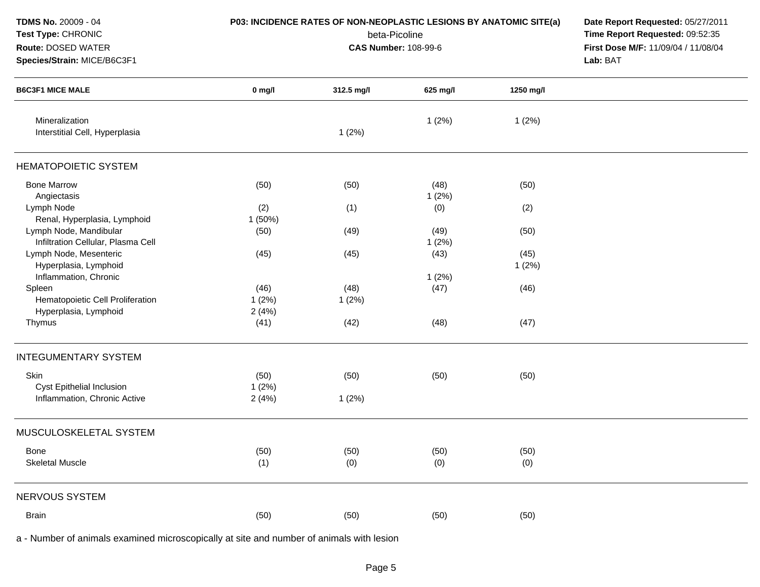| <b>TDMS No. 20009 - 04</b><br>Test Type: CHRONIC<br>Route: DOSED WATER<br>Species/Strain: MICE/B6C3F1 | P03: INCIDENCE RATES OF NON-NEOPLASTIC LESIONS BY ANATOMIC SITE(a) | Date Report Requested: 05/27/2011<br>Time Report Requested: 09:52:35<br>First Dose M/F: 11/09/04 / 11/08/04<br>Lab: BAT |               |               |  |
|-------------------------------------------------------------------------------------------------------|--------------------------------------------------------------------|-------------------------------------------------------------------------------------------------------------------------|---------------|---------------|--|
| <b>B6C3F1 MICE MALE</b>                                                                               | $0$ mg/l                                                           | 312.5 mg/l                                                                                                              | 625 mg/l      | 1250 mg/l     |  |
| Mineralization<br>Interstitial Cell, Hyperplasia                                                      |                                                                    | 1(2%)                                                                                                                   | 1(2%)         | 1(2%)         |  |
| <b>HEMATOPOIETIC SYSTEM</b>                                                                           |                                                                    |                                                                                                                         |               |               |  |
| <b>Bone Marrow</b><br>Angiectasis                                                                     | (50)                                                               | (50)                                                                                                                    | (48)<br>1(2%) | (50)          |  |
| Lymph Node<br>Renal, Hyperplasia, Lymphoid                                                            | (2)<br>1(50%)                                                      | (1)                                                                                                                     | (0)           | (2)           |  |
| Lymph Node, Mandibular<br>Infiltration Cellular, Plasma Cell                                          | (50)                                                               | (49)                                                                                                                    | (49)<br>1(2%) | (50)          |  |
| Lymph Node, Mesenteric<br>Hyperplasia, Lymphoid<br>Inflammation, Chronic                              | (45)                                                               | (45)                                                                                                                    | (43)<br>1(2%) | (45)<br>1(2%) |  |
| Spleen<br>Hematopoietic Cell Proliferation<br>Hyperplasia, Lymphoid                                   | (46)<br>1(2%)<br>2(4%)                                             | (48)<br>1(2%)                                                                                                           | (47)          | (46)          |  |
| Thymus                                                                                                | (41)                                                               | (42)                                                                                                                    | (48)          | (47)          |  |
| <b>INTEGUMENTARY SYSTEM</b>                                                                           |                                                                    |                                                                                                                         |               |               |  |
| Skin<br>Cyst Epithelial Inclusion<br>Inflammation, Chronic Active                                     | (50)<br>1(2%)<br>2(4%)                                             | (50)<br>1(2%)                                                                                                           | (50)          | (50)          |  |
| MUSCULOSKELETAL SYSTEM                                                                                |                                                                    |                                                                                                                         |               |               |  |
| <b>Bone</b><br><b>Skeletal Muscle</b>                                                                 | (50)<br>(1)                                                        | (50)<br>(0)                                                                                                             | (50)<br>(0)   | (50)<br>(0)   |  |
| NERVOUS SYSTEM                                                                                        |                                                                    |                                                                                                                         |               |               |  |
| <b>Brain</b>                                                                                          | (50)                                                               | (50)                                                                                                                    | (50)          | (50)          |  |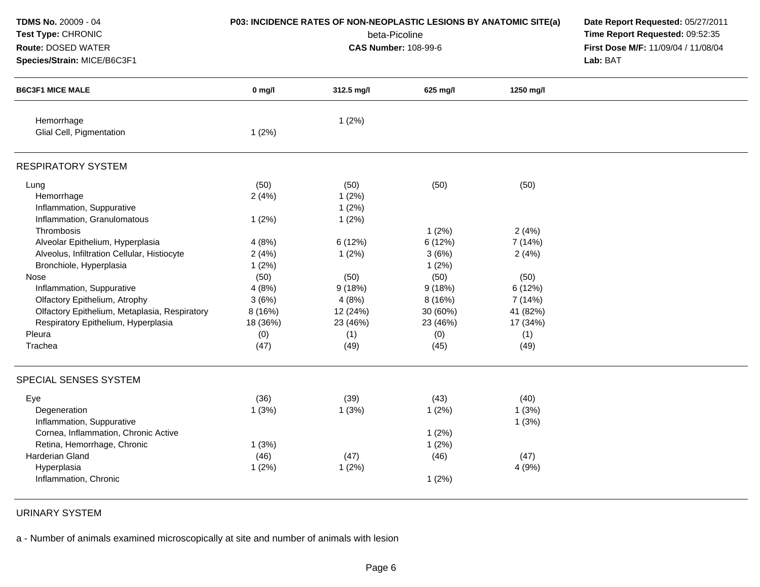| <b>TDMS No. 20009 - 04</b><br>Test Type: CHRONIC<br>Route: DOSED WATER<br>Species/Strain: MICE/B6C3F1 | P03: INCIDENCE RATES OF NON-NEOPLASTIC LESIONS BY ANATOMIC SITE(a) | Date Report Requested: 05/27/2011<br>Time Report Requested: 09:52:35<br>First Dose M/F: 11/09/04 / 11/08/04<br>Lab: BAT |          |           |  |
|-------------------------------------------------------------------------------------------------------|--------------------------------------------------------------------|-------------------------------------------------------------------------------------------------------------------------|----------|-----------|--|
| <b>B6C3F1 MICE MALE</b>                                                                               | $0$ mg/l                                                           | 312.5 mg/l                                                                                                              | 625 mg/l | 1250 mg/l |  |
| Hemorrhage<br>Glial Cell, Pigmentation                                                                | 1(2%)                                                              | 1(2%)                                                                                                                   |          |           |  |
| <b>RESPIRATORY SYSTEM</b>                                                                             |                                                                    |                                                                                                                         |          |           |  |
| Lung<br>Hemorrhage<br>Inflammation, Suppurative<br>Inflammation, Granulomatous                        | (50)<br>2(4%)<br>1(2%)                                             | (50)<br>1(2%)<br>1(2%)<br>1(2%)                                                                                         | (50)     | (50)      |  |
| Thrombosis                                                                                            |                                                                    |                                                                                                                         | 1(2%)    | 2(4%)     |  |
| Alveolar Epithelium, Hyperplasia                                                                      | 4(8%)                                                              | 6(12%)                                                                                                                  | 6 (12%)  | 7 (14%)   |  |
| Alveolus, Infiltration Cellular, Histiocyte                                                           | 2(4%)                                                              | 1(2%)                                                                                                                   | 3(6%)    | 2(4%)     |  |
| Bronchiole, Hyperplasia                                                                               | 1(2%)                                                              |                                                                                                                         | 1(2%)    |           |  |
| Nose                                                                                                  | (50)                                                               | (50)                                                                                                                    | (50)     | (50)      |  |
| Inflammation, Suppurative                                                                             | 4(8%)                                                              | 9(18%)                                                                                                                  | 9(18%)   | 6 (12%)   |  |
| Olfactory Epithelium, Atrophy                                                                         | 3(6%)                                                              | 4(8%)                                                                                                                   | 8(16%)   | 7 (14%)   |  |
| Olfactory Epithelium, Metaplasia, Respiratory                                                         | 8(16%)                                                             | 12 (24%)                                                                                                                | 30 (60%) | 41 (82%)  |  |
| Respiratory Epithelium, Hyperplasia                                                                   | 18 (36%)                                                           | 23 (46%)                                                                                                                | 23 (46%) | 17 (34%)  |  |
| Pleura                                                                                                | (0)                                                                | (1)                                                                                                                     | (0)      | (1)       |  |
| Trachea                                                                                               | (47)                                                               | (49)                                                                                                                    | (45)     | (49)      |  |
| SPECIAL SENSES SYSTEM                                                                                 |                                                                    |                                                                                                                         |          |           |  |
| Eye                                                                                                   | (36)                                                               | (39)                                                                                                                    | (43)     | (40)      |  |
| Degeneration                                                                                          | 1(3%)                                                              | 1(3%)                                                                                                                   | 1(2%)    | 1(3%)     |  |
| Inflammation, Suppurative                                                                             |                                                                    |                                                                                                                         |          | 1(3%)     |  |
| Cornea, Inflammation, Chronic Active                                                                  |                                                                    |                                                                                                                         | 1(2%)    |           |  |
| Retina, Hemorrhage, Chronic                                                                           | 1(3%)                                                              |                                                                                                                         | 1(2%)    |           |  |
| Harderian Gland                                                                                       | (46)                                                               | (47)                                                                                                                    | (46)     | (47)      |  |
| Hyperplasia                                                                                           | 1(2%)                                                              | 1(2%)                                                                                                                   |          | 4(9%)     |  |
| Inflammation, Chronic                                                                                 |                                                                    |                                                                                                                         | 1(2%)    |           |  |

URINARY SYSTEM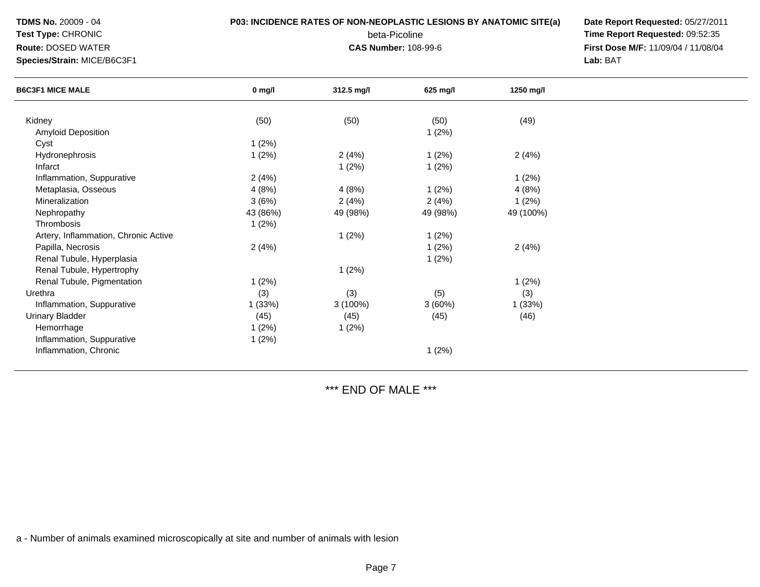**TDMS No.** 20009 - 04

## **Test Type:** CHRONIC**Route:** DOSED WATER

**Species/Strain:** MICE/B6C3F1

## **P03: INCIDENCE RATES OF NON-NEOPLASTIC LESIONS BY ANATOMIC SITE(a) Date Report Requested:** 05/27/2011

beta-Picoline<br>CAS Number: 108-99-6

 **Time Report Requested:** 09:52:35 **First Dose M/F:** 11/09/04 / 11/08/04<br>Lab: BAT **Lab:** BAT

| <b>B6C3F1 MICE MALE</b>              | $0$ mg/l | 312.5 mg/l | 625 mg/l | 1250 mg/l |  |
|--------------------------------------|----------|------------|----------|-----------|--|
| Kidney                               | (50)     | (50)       | (50)     | (49)      |  |
| Amyloid Deposition                   |          |            |          |           |  |
|                                      |          |            | 1(2%)    |           |  |
| Cyst                                 | 1(2%)    |            |          |           |  |
| Hydronephrosis                       | 1(2%)    | 2(4%)      | 1(2%)    | 2(4%)     |  |
| Infarct                              |          | 1(2%)      | 1(2%)    |           |  |
| Inflammation, Suppurative            | 2(4%)    |            |          | 1(2%)     |  |
| Metaplasia, Osseous                  | 4(8%)    | 4(8%)      | 1(2%)    | 4(8%)     |  |
| Mineralization                       | 3(6%)    | 2(4%)      | 2(4%)    | 1(2%)     |  |
| Nephropathy                          | 43 (86%) | 49 (98%)   | 49 (98%) | 49 (100%) |  |
| Thrombosis                           | 1(2%)    |            |          |           |  |
| Artery, Inflammation, Chronic Active |          | 1(2%)      | 1(2%)    |           |  |
| Papilla, Necrosis                    | 2(4%)    |            | 1(2%)    | 2(4%)     |  |
| Renal Tubule, Hyperplasia            |          |            | 1(2%)    |           |  |
| Renal Tubule, Hypertrophy            |          | 1(2%)      |          |           |  |
| Renal Tubule, Pigmentation           | 1(2%)    |            |          | 1(2%)     |  |
| Urethra                              | (3)      | (3)        | (5)      | (3)       |  |
| Inflammation, Suppurative            | 1(33%)   | 3 (100%)   | 3(60%)   | 1 (33%)   |  |
| <b>Urinary Bladder</b>               | (45)     | (45)       | (45)     | (46)      |  |
| Hemorrhage                           | 1(2%)    | 1(2%)      |          |           |  |
| Inflammation, Suppurative            | 1(2%)    |            |          |           |  |
|                                      |          |            |          |           |  |
| Inflammation, Chronic                |          |            | 1(2%)    |           |  |

\*\*\* END OF MALE \*\*\*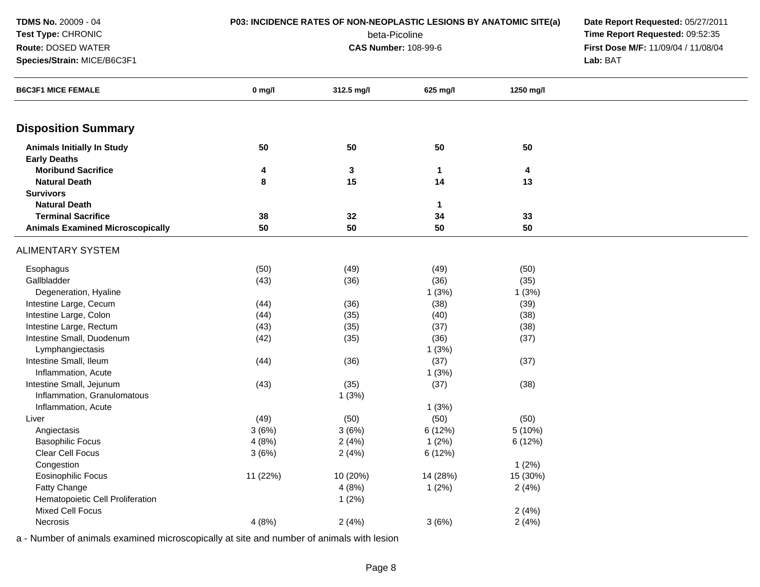| TDMS No. 20009 - 04                     | P03: INCIDENCE RATES OF NON-NEOPLASTIC LESIONS BY ANATOMIC SITE(a) | Date Report Requested: 05/27/2011   |                                 |           |          |
|-----------------------------------------|--------------------------------------------------------------------|-------------------------------------|---------------------------------|-----------|----------|
| Test Type: CHRONIC                      |                                                                    |                                     | Time Report Requested: 09:52:35 |           |          |
| Route: DOSED WATER                      |                                                                    | First Dose M/F: 11/09/04 / 11/08/04 |                                 |           |          |
| Species/Strain: MICE/B6C3F1             |                                                                    | <b>CAS Number: 108-99-6</b>         |                                 |           | Lab: BAT |
|                                         |                                                                    |                                     |                                 |           |          |
| <b>B6C3F1 MICE FEMALE</b>               | $0$ mg/l                                                           | 312.5 mg/l                          | 625 mg/l                        | 1250 mg/l |          |
| <b>Disposition Summary</b>              |                                                                    |                                     |                                 |           |          |
| <b>Animals Initially In Study</b>       | 50                                                                 | 50                                  | 50                              | 50        |          |
| <b>Early Deaths</b>                     |                                                                    |                                     |                                 |           |          |
| <b>Moribund Sacrifice</b>               | 4                                                                  | 3                                   | 1                               | 4         |          |
| <b>Natural Death</b>                    | 8                                                                  | 15                                  | 14                              | 13        |          |
| <b>Survivors</b>                        |                                                                    |                                     |                                 |           |          |
| <b>Natural Death</b>                    |                                                                    |                                     | 1                               |           |          |
| <b>Terminal Sacrifice</b>               | 38                                                                 | 32                                  | 34                              | 33        |          |
| <b>Animals Examined Microscopically</b> | 50                                                                 | 50                                  | 50                              | 50        |          |
| ALIMENTARY SYSTEM                       |                                                                    |                                     |                                 |           |          |
| Esophagus                               | (50)                                                               | (49)                                | (49)                            | (50)      |          |
| Gallbladder                             | (43)                                                               | (36)                                | (36)                            | (35)      |          |
| Degeneration, Hyaline                   |                                                                    |                                     | 1(3%)                           | 1(3%)     |          |
| Intestine Large, Cecum                  | (44)                                                               | (36)                                | (38)                            | (39)      |          |
| Intestine Large, Colon                  | (44)                                                               | (35)                                | (40)                            | (38)      |          |
| Intestine Large, Rectum                 | (43)                                                               | (35)                                | (37)                            | (38)      |          |
| Intestine Small, Duodenum               | (42)                                                               | (35)                                | (36)                            | (37)      |          |
| Lymphangiectasis                        |                                                                    |                                     | 1(3%)                           |           |          |
| Intestine Small, Ileum                  | (44)                                                               | (36)                                | (37)                            | (37)      |          |
| Inflammation, Acute                     |                                                                    |                                     | 1(3%)                           |           |          |
| Intestine Small, Jejunum                | (43)                                                               | (35)                                | (37)                            | (38)      |          |
| Inflammation, Granulomatous             |                                                                    | 1(3%)                               |                                 |           |          |
| Inflammation, Acute                     |                                                                    |                                     | 1(3%)                           |           |          |
| Liver                                   | (49)                                                               | (50)                                | (50)                            | (50)      |          |
| Angiectasis                             | 3(6%)                                                              | 3(6%)                               | 6 (12%)                         | 5 (10%)   |          |
| <b>Basophilic Focus</b>                 | 4(8%)                                                              | 2(4%)                               | 1(2%)                           | 6 (12%)   |          |
| Clear Cell Focus                        | 3(6%)                                                              | 2(4%)                               | 6 (12%)                         |           |          |
| Congestion                              |                                                                    |                                     |                                 | 1(2%)     |          |
| Eosinophilic Focus                      | 11 (22%)                                                           | 10 (20%)                            | 14 (28%)                        | 15 (30%)  |          |
| Fatty Change                            |                                                                    | 4(8%)                               | 1(2%)                           | 2(4%)     |          |
| Hematopoietic Cell Proliferation        |                                                                    | 1(2%)                               |                                 |           |          |
| Mixed Cell Focus                        |                                                                    |                                     |                                 | 2(4%)     |          |
| Necrosis                                | 4(8%)                                                              | 2(4%)                               | 3(6%)                           | 2(4%)     |          |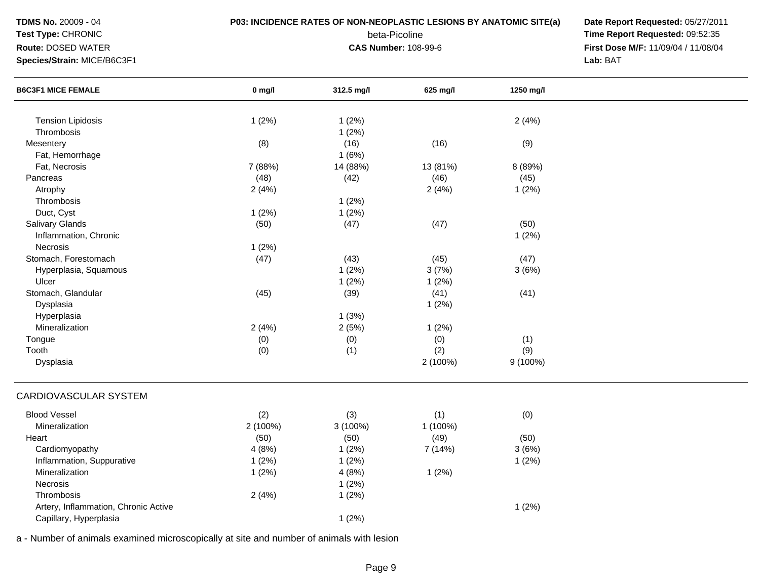**TDMS No.** 20009 - 04

### **Test Type:** CHRONIC

#### **Route:** DOSED WATER

**Species/Strain:** MICE/B6C3F1

### **P03: INCIDENCE RATES OF NON-NEOPLASTIC LESIONS BY ANATOMIC SITE(a) Date Report Requested:** 05/27/2011

beta-Picoline<br>CAS Number: 108-99-6

 **Time Report Requested:** 09:52:35 **First Dose M/F:** 11/09/04 / 11/08/04<br>Lab: BAT **Lab:** BAT

| <b>B6C3F1 MICE FEMALE</b>            | $0$ mg/l | 312.5 mg/l    | 625 mg/l | 1250 mg/l |  |
|--------------------------------------|----------|---------------|----------|-----------|--|
|                                      |          |               |          |           |  |
| <b>Tension Lipidosis</b>             | 1(2%)    | 1(2%)         |          | 2(4%)     |  |
| Thrombosis                           |          | 1(2%)         |          |           |  |
| Mesentery                            | (8)      | (16)<br>1(6%) | (16)     | (9)       |  |
| Fat, Hemorrhage                      |          |               |          |           |  |
| Fat, Necrosis                        | 7 (88%)  | 14 (88%)      | 13 (81%) | 8 (89%)   |  |
| Pancreas                             | (48)     | (42)          | (46)     | (45)      |  |
| Atrophy                              | 2(4%)    |               | 2(4%)    | 1(2%)     |  |
| Thrombosis                           |          | 1(2%)         |          |           |  |
| Duct, Cyst                           | 1(2%)    | 1(2%)         |          |           |  |
| Salivary Glands                      | (50)     | (47)          | (47)     | (50)      |  |
| Inflammation, Chronic                |          |               |          | 1(2%)     |  |
| Necrosis                             | 1(2%)    |               |          |           |  |
| Stomach, Forestomach                 | (47)     | (43)          | (45)     | (47)      |  |
| Hyperplasia, Squamous                |          | 1(2%)         | 3(7%)    | 3(6%)     |  |
| Ulcer                                |          | 1(2%)         | 1(2%)    |           |  |
| Stomach, Glandular                   | (45)     | (39)          | (41)     | (41)      |  |
| Dysplasia                            |          |               | 1(2%)    |           |  |
| Hyperplasia                          |          | 1(3%)         |          |           |  |
| Mineralization                       | 2(4%)    | 2(5%)         | 1(2%)    |           |  |
| Tongue                               | (0)      | (0)           | (0)      | (1)       |  |
| Tooth                                | (0)      | (1)           | (2)      | (9)       |  |
| Dysplasia                            |          |               | 2 (100%) | 9 (100%)  |  |
| CARDIOVASCULAR SYSTEM                |          |               |          |           |  |
| <b>Blood Vessel</b>                  | (2)      | (3)           | (1)      | (0)       |  |
| Mineralization                       | 2 (100%) | 3 (100%)      | 1 (100%) |           |  |
| Heart                                | (50)     | (50)          | (49)     | (50)      |  |
| Cardiomyopathy                       | 4(8%)    | 1(2%)         | 7(14%)   | 3(6%)     |  |
| Inflammation, Suppurative            | 1(2%)    | 1(2%)         |          | 1(2%)     |  |
| Mineralization                       | 1(2%)    | 4(8%)         | 1(2%)    |           |  |
| Necrosis                             |          | 1(2%)         |          |           |  |
| Thrombosis                           | 2(4%)    | 1(2%)         |          |           |  |
| Artery, Inflammation, Chronic Active |          |               |          | 1(2%)     |  |
| Capillary, Hyperplasia               |          | 1(2%)         |          |           |  |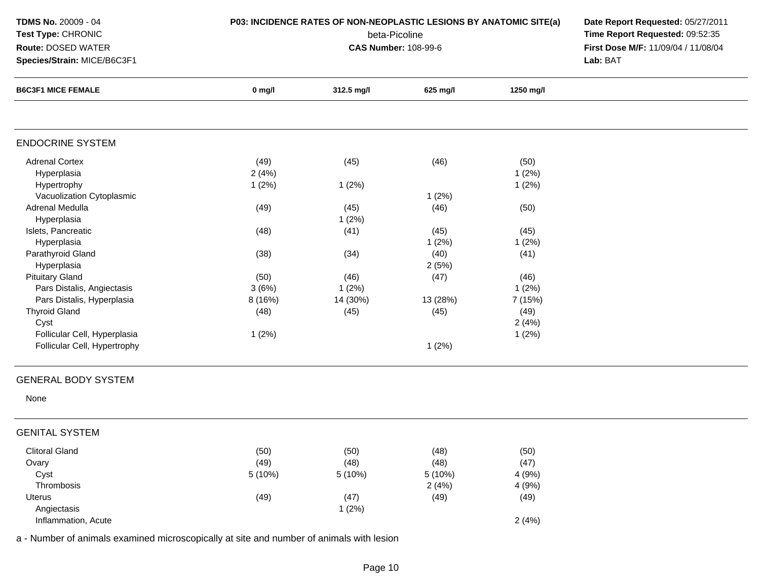| TDMS No. 20009 - 04<br>Test Type: CHRONIC<br>Route: DOSED WATER<br>Species/Strain: MICE/B6C3F1 | P03: INCIDENCE RATES OF NON-NEOPLASTIC LESIONS BY ANATOMIC SITE(a) | Date Report Requested: 05/27/2011<br>Time Report Requested: 09:52:35<br>First Dose M/F: 11/09/04 / 11/08/04<br>Lab: BAT |          |           |  |
|------------------------------------------------------------------------------------------------|--------------------------------------------------------------------|-------------------------------------------------------------------------------------------------------------------------|----------|-----------|--|
| <b>B6C3F1 MICE FEMALE</b>                                                                      | $0$ mg/l                                                           | 312.5 mg/l                                                                                                              | 625 mg/l | 1250 mg/l |  |
| <b>ENDOCRINE SYSTEM</b>                                                                        |                                                                    |                                                                                                                         |          |           |  |
| <b>Adrenal Cortex</b>                                                                          | (49)                                                               | (45)                                                                                                                    | (46)     | (50)      |  |
| Hyperplasia                                                                                    | 2(4%)                                                              |                                                                                                                         |          | 1(2%)     |  |
| Hypertrophy                                                                                    | 1(2%)                                                              | 1(2%)                                                                                                                   |          | 1(2%)     |  |
| Vacuolization Cytoplasmic                                                                      |                                                                    |                                                                                                                         | 1(2%)    |           |  |
| Adrenal Medulla                                                                                | (49)                                                               | (45)                                                                                                                    | (46)     | (50)      |  |
| Hyperplasia                                                                                    |                                                                    | 1(2%)                                                                                                                   |          |           |  |
| Islets, Pancreatic                                                                             | (48)                                                               | (41)                                                                                                                    | (45)     | (45)      |  |
| Hyperplasia                                                                                    |                                                                    |                                                                                                                         | 1(2%)    | 1(2%)     |  |
| Parathyroid Gland                                                                              | (38)                                                               | (34)                                                                                                                    | (40)     | (41)      |  |
| Hyperplasia                                                                                    |                                                                    |                                                                                                                         | 2(5%)    |           |  |
| <b>Pituitary Gland</b>                                                                         | (50)                                                               | (46)                                                                                                                    | (47)     | (46)      |  |
| Pars Distalis, Angiectasis                                                                     | 3(6%)                                                              | 1(2%)                                                                                                                   |          | 1(2%)     |  |
| Pars Distalis, Hyperplasia                                                                     | 8 (16%)                                                            | 14 (30%)                                                                                                                | 13 (28%) | 7 (15%)   |  |
| <b>Thyroid Gland</b>                                                                           | (48)                                                               | (45)                                                                                                                    | (45)     | (49)      |  |
| Cyst                                                                                           |                                                                    |                                                                                                                         |          | 2(4%)     |  |
| Follicular Cell, Hyperplasia                                                                   | 1(2%)                                                              |                                                                                                                         |          | 1(2%)     |  |
| Follicular Cell, Hypertrophy                                                                   |                                                                    |                                                                                                                         | 1(2%)    |           |  |
| <b>GENERAL BODY SYSTEM</b>                                                                     |                                                                    |                                                                                                                         |          |           |  |
| None                                                                                           |                                                                    |                                                                                                                         |          |           |  |
| <b>GENITAL SYSTEM</b>                                                                          |                                                                    |                                                                                                                         |          |           |  |
| <b>Clitoral Gland</b>                                                                          | (50)                                                               | (50)                                                                                                                    | (48)     | (50)      |  |
| Ovary                                                                                          | (49)                                                               | (48)                                                                                                                    | (48)     | (47)      |  |
| Cyst                                                                                           | 5 (10%)                                                            | 5 (10%)                                                                                                                 | 5 (10%)  | 4 (9%)    |  |
| Thrombosis                                                                                     |                                                                    |                                                                                                                         | 2(4%)    | 4 (9%)    |  |
| Uterus                                                                                         | (49)                                                               | (47)                                                                                                                    | (49)     | (49)      |  |
| Angiectasis                                                                                    |                                                                    | 1(2%)                                                                                                                   |          |           |  |
| Inflammation, Acute                                                                            |                                                                    |                                                                                                                         |          |           |  |
| a - Number of animals examined microscopically at site and number of animals with lesion       |                                                                    |                                                                                                                         |          | 2(4%)     |  |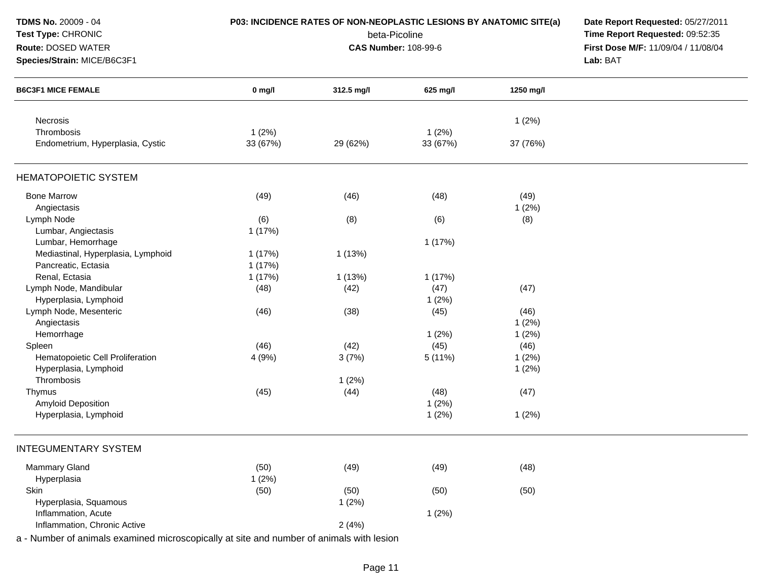| TDMS No. 20009 - 04                                                                      | P03: INCIDENCE RATES OF NON-NEOPLASTIC LESIONS BY ANATOMIC SITE(a) | Date Report Requested: 05/27/2011 |                             |           |                                     |
|------------------------------------------------------------------------------------------|--------------------------------------------------------------------|-----------------------------------|-----------------------------|-----------|-------------------------------------|
| Test Type: CHRONIC                                                                       |                                                                    | Time Report Requested: 09:52:35   |                             |           |                                     |
| Route: DOSED WATER                                                                       |                                                                    |                                   | <b>CAS Number: 108-99-6</b> |           | First Dose M/F: 11/09/04 / 11/08/04 |
| Species/Strain: MICE/B6C3F1                                                              |                                                                    |                                   |                             |           | Lab: BAT                            |
| <b>B6C3F1 MICE FEMALE</b>                                                                | $0$ mg/l                                                           | 312.5 mg/l                        | 625 mg/l                    | 1250 mg/l |                                     |
| Necrosis                                                                                 |                                                                    |                                   |                             | 1(2%)     |                                     |
| Thrombosis                                                                               | 1(2%)                                                              |                                   | 1(2%)                       |           |                                     |
| Endometrium, Hyperplasia, Cystic                                                         | 33 (67%)                                                           | 29 (62%)                          | 33 (67%)                    | 37 (76%)  |                                     |
| <b>HEMATOPOIETIC SYSTEM</b>                                                              |                                                                    |                                   |                             |           |                                     |
| <b>Bone Marrow</b>                                                                       | (49)                                                               | (46)                              | (48)                        | (49)      |                                     |
| Angiectasis                                                                              |                                                                    |                                   |                             | 1(2%)     |                                     |
| Lymph Node                                                                               | (6)                                                                | (8)                               | (6)                         | (8)       |                                     |
| Lumbar, Angiectasis                                                                      | 1(17%)                                                             |                                   |                             |           |                                     |
| Lumbar, Hemorrhage                                                                       |                                                                    |                                   | 1(17%)                      |           |                                     |
| Mediastinal, Hyperplasia, Lymphoid                                                       | 1(17%)                                                             | 1(13%)                            |                             |           |                                     |
| Pancreatic, Ectasia                                                                      | 1(17%)                                                             |                                   |                             |           |                                     |
| Renal, Ectasia                                                                           | 1(17%)                                                             | 1(13%)                            | 1(17%)                      |           |                                     |
| Lymph Node, Mandibular                                                                   | (48)                                                               | (42)                              | (47)                        | (47)      |                                     |
| Hyperplasia, Lymphoid                                                                    |                                                                    |                                   | 1(2%)                       |           |                                     |
| Lymph Node, Mesenteric                                                                   | (46)                                                               | (38)                              | (45)                        | (46)      |                                     |
| Angiectasis                                                                              |                                                                    |                                   |                             | 1(2%)     |                                     |
| Hemorrhage                                                                               |                                                                    |                                   | 1(2%)                       | 1(2%)     |                                     |
| Spleen                                                                                   | (46)                                                               | (42)                              | (45)                        | (46)      |                                     |
| Hematopoietic Cell Proliferation                                                         | 4(9%)                                                              | 3(7%)                             | 5(11%)                      | 1(2%)     |                                     |
| Hyperplasia, Lymphoid                                                                    |                                                                    |                                   |                             | 1(2%)     |                                     |
| Thrombosis                                                                               |                                                                    | 1(2%)                             |                             |           |                                     |
| Thymus                                                                                   | (45)                                                               | (44)                              | (48)                        | (47)      |                                     |
| Amyloid Deposition                                                                       |                                                                    |                                   | 1(2%)                       |           |                                     |
| Hyperplasia, Lymphoid                                                                    |                                                                    |                                   | 1(2%)                       | 1(2%)     |                                     |
| <b>INTEGUMENTARY SYSTEM</b>                                                              |                                                                    |                                   |                             |           |                                     |
| <b>Mammary Gland</b>                                                                     | (50)                                                               | (49)                              | (49)                        | (48)      |                                     |
| Hyperplasia                                                                              | 1(2%)                                                              |                                   |                             |           |                                     |
| Skin                                                                                     | (50)                                                               | (50)                              | (50)                        | (50)      |                                     |
| Hyperplasia, Squamous                                                                    |                                                                    | 1(2%)                             |                             |           |                                     |
| Inflammation, Acute                                                                      |                                                                    |                                   | 1(2%)                       |           |                                     |
| Inflammation, Chronic Active                                                             |                                                                    | 2(4%)                             |                             |           |                                     |
| a - Number of animals examined microscopically at site and number of animals with lesion |                                                                    |                                   |                             |           |                                     |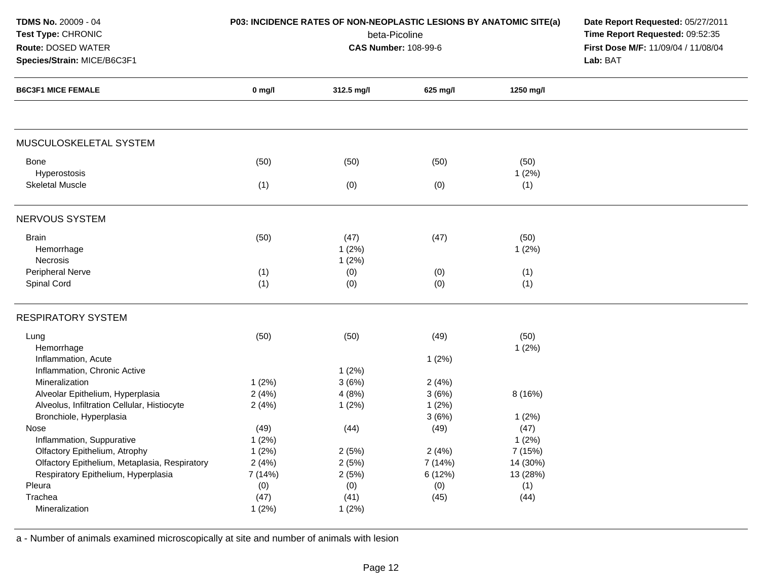| TDMS No. 20009 - 04<br>Test Type: CHRONIC<br>Route: DOSED WATER<br>Species/Strain: MICE/B6C3F1 |          | P03: INCIDENCE RATES OF NON-NEOPLASTIC LESIONS BY ANATOMIC SITE(a)<br>beta-Picoline<br><b>CAS Number: 108-99-6</b> | Date Report Requested: 05/27/2011<br>Time Report Requested: 09:52:35<br>First Dose M/F: 11/09/04 / 11/08/04<br>Lab: BAT |           |  |
|------------------------------------------------------------------------------------------------|----------|--------------------------------------------------------------------------------------------------------------------|-------------------------------------------------------------------------------------------------------------------------|-----------|--|
| <b>B6C3F1 MICE FEMALE</b>                                                                      | $0$ mg/l | 312.5 mg/l                                                                                                         | 625 mg/l                                                                                                                | 1250 mg/l |  |
| MUSCULOSKELETAL SYSTEM                                                                         |          |                                                                                                                    |                                                                                                                         |           |  |
| <b>Bone</b>                                                                                    | (50)     | (50)                                                                                                               | (50)                                                                                                                    | (50)      |  |
| Hyperostosis                                                                                   |          |                                                                                                                    |                                                                                                                         | 1(2%)     |  |
| <b>Skeletal Muscle</b>                                                                         | (1)      | (0)                                                                                                                | (0)                                                                                                                     | (1)       |  |
| <b>NERVOUS SYSTEM</b>                                                                          |          |                                                                                                                    |                                                                                                                         |           |  |
| <b>Brain</b>                                                                                   | (50)     | (47)                                                                                                               | (47)                                                                                                                    | (50)      |  |
| Hemorrhage                                                                                     |          | 1(2%)                                                                                                              |                                                                                                                         | 1(2%)     |  |
| Necrosis                                                                                       |          | 1(2%)                                                                                                              |                                                                                                                         |           |  |
| Peripheral Nerve                                                                               | (1)      | (0)                                                                                                                | (0)                                                                                                                     | (1)       |  |
| Spinal Cord                                                                                    | (1)      | (0)                                                                                                                | (0)                                                                                                                     | (1)       |  |
| <b>RESPIRATORY SYSTEM</b>                                                                      |          |                                                                                                                    |                                                                                                                         |           |  |
| Lung                                                                                           | (50)     | (50)                                                                                                               | (49)                                                                                                                    | (50)      |  |
| Hemorrhage                                                                                     |          |                                                                                                                    |                                                                                                                         | 1(2%)     |  |
| Inflammation, Acute                                                                            |          |                                                                                                                    | 1(2%)                                                                                                                   |           |  |
| Inflammation, Chronic Active                                                                   |          | 1(2%)                                                                                                              |                                                                                                                         |           |  |
| Mineralization                                                                                 | 1(2%)    | 3(6%)                                                                                                              | 2(4%)                                                                                                                   |           |  |
| Alveolar Epithelium, Hyperplasia                                                               | 2(4%)    | 4(8%)                                                                                                              | 3(6%)                                                                                                                   | 8 (16%)   |  |
| Alveolus, Infiltration Cellular, Histiocyte                                                    | 2(4%)    | 1(2%)                                                                                                              | 1(2%)                                                                                                                   |           |  |
| Bronchiole, Hyperplasia                                                                        |          |                                                                                                                    | 3(6%)                                                                                                                   | 1(2%)     |  |
| Nose                                                                                           | (49)     | (44)                                                                                                               | (49)                                                                                                                    | (47)      |  |
| Inflammation, Suppurative                                                                      | 1(2%)    |                                                                                                                    |                                                                                                                         | 1(2%)     |  |
| Olfactory Epithelium, Atrophy                                                                  | 1(2%)    | 2(5%)                                                                                                              | 2(4%)                                                                                                                   | 7 (15%)   |  |
| Olfactory Epithelium, Metaplasia, Respiratory                                                  | 2(4%)    | 2(5%)                                                                                                              | 7(14%)                                                                                                                  | 14 (30%)  |  |
| Respiratory Epithelium, Hyperplasia                                                            | 7 (14%)  | 2(5%)                                                                                                              | 6 (12%)                                                                                                                 | 13 (28%)  |  |
| Pleura                                                                                         | (0)      | (0)                                                                                                                | (0)                                                                                                                     | (1)       |  |
| Trachea                                                                                        | (47)     | (41)                                                                                                               | (45)                                                                                                                    | (44)      |  |
| Mineralization                                                                                 | 1(2%)    | 1(2%)                                                                                                              |                                                                                                                         |           |  |
|                                                                                                |          |                                                                                                                    |                                                                                                                         |           |  |